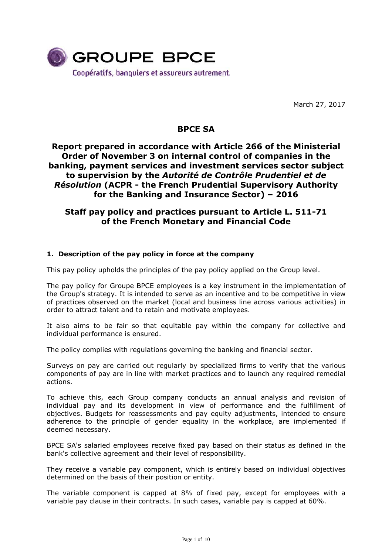

March 27, 2017

# **BPCE SA**

# **Report prepared in accordance with Article 266 of the Ministerial Order of November 3 on internal control of companies in the banking, payment services and investment services sector subject to supervision by the** *Autorité de Contrôle Prudentiel et de Résolution* **(ACPR - the French Prudential Supervisory Authority for the Banking and Insurance Sector) – 2016**

# **Staff pay policy and practices pursuant to Article L. 511-71 of the French Monetary and Financial Code**

## **1. Description of the pay policy in force at the company**

This pay policy upholds the principles of the pay policy applied on the Group level.

The pay policy for Groupe BPCE employees is a key instrument in the implementation of the Group's strategy. It is intended to serve as an incentive and to be competitive in view of practices observed on the market (local and business line across various activities) in order to attract talent and to retain and motivate employees.

It also aims to be fair so that equitable pay within the company for collective and individual performance is ensured.

The policy complies with regulations governing the banking and financial sector.

Surveys on pay are carried out regularly by specialized firms to verify that the various components of pay are in line with market practices and to launch any required remedial actions.

To achieve this, each Group company conducts an annual analysis and revision of individual pay and its development in view of performance and the fulfillment of objectives. Budgets for reassessments and pay equity adjustments, intended to ensure adherence to the principle of gender equality in the workplace, are implemented if deemed necessary.

BPCE SA's salaried employees receive fixed pay based on their status as defined in the bank's collective agreement and their level of responsibility.

They receive a variable pay component, which is entirely based on individual objectives determined on the basis of their position or entity.

The variable component is capped at 8% of fixed pay, except for employees with a variable pay clause in their contracts. In such cases, variable pay is capped at 60%.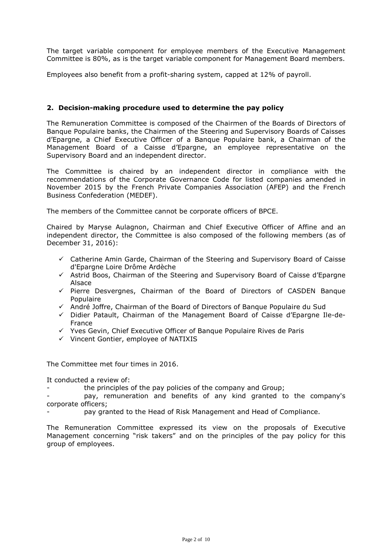The target variable component for employee members of the Executive Management Committee is 80%, as is the target variable component for Management Board members.

Employees also benefit from a profit-sharing system, capped at 12% of payroll.

### **2. Decision-making procedure used to determine the pay policy**

The Remuneration Committee is composed of the Chairmen of the Boards of Directors of Banque Populaire banks, the Chairmen of the Steering and Supervisory Boards of Caisses d'Epargne, a Chief Executive Officer of a Banque Populaire bank, a Chairman of the Management Board of a Caisse d'Epargne, an employee representative on the Supervisory Board and an independent director.

The Committee is chaired by an independent director in compliance with the recommendations of the Corporate Governance Code for listed companies amended in November 2015 by the French Private Companies Association (AFEP) and the French Business Confederation (MEDEF).

The members of the Committee cannot be corporate officers of BPCE.

Chaired by Maryse Aulagnon, Chairman and Chief Executive Officer of Affine and an independent director, the Committee is also composed of the following members (as of December 31, 2016):

- $\checkmark$  Catherine Amin Garde, Chairman of the Steering and Supervisory Board of Caisse d'Epargne Loire Drôme Ardèche
- $\checkmark$  Astrid Boos, Chairman of the Steering and Supervisory Board of Caisse d'Epargne Alsace
- $\checkmark$  Pierre Desvergnes, Chairman of the Board of Directors of CASDEN Banque Populaire
- André Joffre, Chairman of the Board of Directors of Banque Populaire du Sud
- $\checkmark$  Didier Patault, Chairman of the Management Board of Caisse d'Epargne Ile-de-France
- $\checkmark$  Yves Gevin, Chief Executive Officer of Banque Populaire Rives de Paris
- $\checkmark$  Vincent Gontier, employee of NATIXIS

The Committee met four times in 2016.

It conducted a review of:

the principles of the pay policies of the company and Group;

pay, remuneration and benefits of any kind granted to the company's corporate officers;

pay granted to the Head of Risk Management and Head of Compliance.

The Remuneration Committee expressed its view on the proposals of Executive Management concerning "risk takers" and on the principles of the pay policy for this group of employees.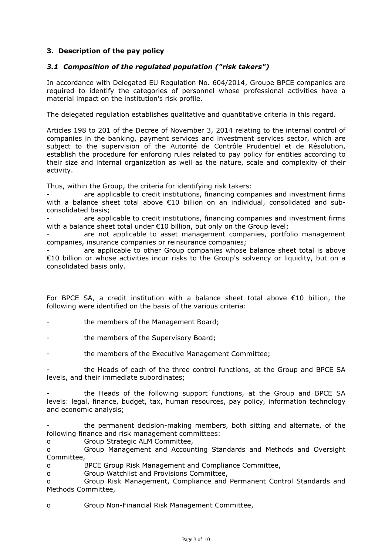## **3. Description of the pay policy**

### *3.1 Composition of the regulated population ("risk takers")*

In accordance with Delegated EU Regulation No. 604/2014, Groupe BPCE companies are required to identify the categories of personnel whose professional activities have a material impact on the institution's risk profile.

The delegated regulation establishes qualitative and quantitative criteria in this regard.

Articles 198 to 201 of the Decree of November 3, 2014 relating to the internal control of companies in the banking, payment services and investment services sector, which are subject to the supervision of the Autorité de Contrôle Prudentiel et de Résolution, establish the procedure for enforcing rules related to pay policy for entities according to their size and internal organization as well as the nature, scale and complexity of their activity.

Thus, within the Group, the criteria for identifying risk takers:

are applicable to credit institutions, financing companies and investment firms with a balance sheet total above €10 billion on an individual, consolidated and subconsolidated basis;

are applicable to credit institutions, financing companies and investment firms with a balance sheet total under €10 billion, but only on the Group level;

are not applicable to asset management companies, portfolio management companies, insurance companies or reinsurance companies;

are applicable to other Group companies whose balance sheet total is above €10 billion or whose activities incur risks to the Group's solvency or liquidity, but on a consolidated basis only.

For BPCE SA, a credit institution with a balance sheet total above €10 billion, the following were identified on the basis of the various criteria:

- the members of the Management Board;
- the members of the Supervisory Board;
- the members of the Executive Management Committee;

the Heads of each of the three control functions, at the Group and BPCE SA levels, and their immediate subordinates;

- the Heads of the following support functions, at the Group and BPCE SA levels: legal, finance, budget, tax, human resources, pay policy, information technology and economic analysis;

the permanent decision-making members, both sitting and alternate, of the following finance and risk management committees:

o Group Strategic ALM Committee,

o Group Management and Accounting Standards and Methods and Oversight Committee,

o BPCE Group Risk Management and Compliance Committee,

o Group Watchlist and Provisions Committee,

o Group Risk Management, Compliance and Permanent Control Standards and Methods Committee,

o Group Non-Financial Risk Management Committee,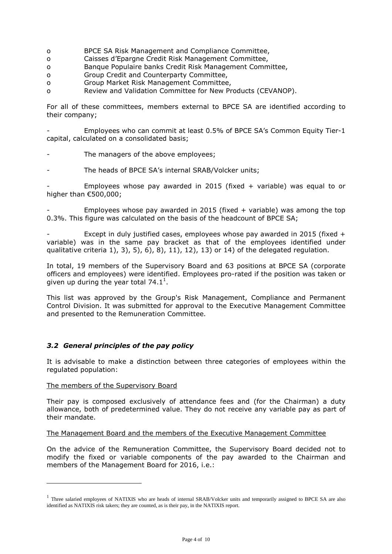- o BPCE SA Risk Management and Compliance Committee,
- o Caisses d'Epargne Credit Risk Management Committee,
- o Banque Populaire banks Credit Risk Management Committee,
- o Group Credit and Counterparty Committee,
- o Group Market Risk Management Committee,
- o Review and Validation Committee for New Products (CEVANOP).

For all of these committees, members external to BPCE SA are identified according to their company;

- Employees who can commit at least 0.5% of BPCE SA's Common Equity Tier-1 capital, calculated on a consolidated basis;

- The managers of the above employees;
- The heads of BPCE SA's internal SRAB/Volcker units;

Employees whose pay awarded in 2015 (fixed  $+$  variable) was equal to or higher than €500,000;

Employees whose pay awarded in 2015 (fixed  $+$  variable) was among the top 0.3%. This figure was calculated on the basis of the headcount of BPCE SA;

Except in duly justified cases, employees whose pay awarded in 2015 (fixed  $+$ variable) was in the same pay bracket as that of the employees identified under qualitative criteria 1), 3), 5), 6), 8), 11), 12), 13) or 14) of the delegated regulation.

In total, 19 members of the Supervisory Board and 63 positions at BPCE SA (corporate officers and employees) were identified. Employees pro-rated if the position was taken or given up during the year total 74.1<sup>1</sup>.

This list was approved by the Group's Risk Management, Compliance and Permanent Control Division. It was submitted for approval to the Executive Management Committee and presented to the Remuneration Committee.

## *3.2 General principles of the pay policy*

It is advisable to make a distinction between three categories of employees within the regulated population:

### The members of the Supervisory Board

 $\overline{a}$ 

Their pay is composed exclusively of attendance fees and (for the Chairman) a duty allowance, both of predetermined value. They do not receive any variable pay as part of their mandate.

### The Management Board and the members of the Executive Management Committee

On the advice of the Remuneration Committee, the Supervisory Board decided not to modify the fixed or variable components of the pay awarded to the Chairman and members of the Management Board for 2016, i.e.:

<sup>&</sup>lt;sup>1</sup> Three salaried employees of NATIXIS who are heads of internal SRAB/Volcker units and temporarily assigned to BPCE SA are also identified as NATIXIS risk takers; they are counted, as is their pay, in the NATIXIS report.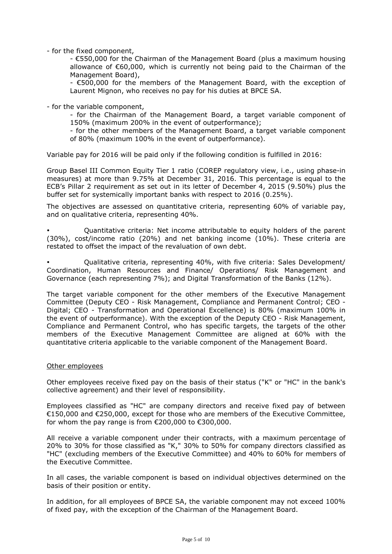- for the fixed component,

- €550,000 for the Chairman of the Management Board (plus a maximum housing allowance of €60,000, which is currently not being paid to the Chairman of the Management Board),

- €500,000 for the members of the Management Board, with the exception of Laurent Mignon, who receives no pay for his duties at BPCE SA.

- for the variable component,

- for the Chairman of the Management Board, a target variable component of 150% (maximum 200% in the event of outperformance);

- for the other members of the Management Board, a target variable component of 80% (maximum 100% in the event of outperformance).

Variable pay for 2016 will be paid only if the following condition is fulfilled in 2016:

Group Basel III Common Equity Tier 1 ratio (COREP regulatory view, i.e., using phase-in measures) at more than 9.75% at December 31, 2016. This percentage is equal to the ECB's Pillar 2 requirement as set out in its letter of December 4, 2015 (9.50%) plus the buffer set for systemically important banks with respect to 2016 (0.25%).

The objectives are assessed on quantitative criteria, representing 60% of variable pay, and on qualitative criteria, representing 40%.

- Quantitative criteria: Net income attributable to equity holders of the parent (30%), cost/income ratio (20%) and net banking income (10%). These criteria are restated to offset the impact of the revaluation of own debt.

- Qualitative criteria, representing 40%, with five criteria: Sales Development/ Coordination, Human Resources and Finance/ Operations/ Risk Management and Governance (each representing 7%); and Digital Transformation of the Banks (12%).

The target variable component for the other members of the Executive Management Committee (Deputy CEO - Risk Management, Compliance and Permanent Control; CEO - Digital; CEO - Transformation and Operational Excellence) is 80% (maximum 100% in the event of outperformance). With the exception of the Deputy CEO - Risk Management, Compliance and Permanent Control, who has specific targets, the targets of the other members of the Executive Management Committee are aligned at 60% with the quantitative criteria applicable to the variable component of the Management Board.

#### Other employees

Other employees receive fixed pay on the basis of their status ("K" or "HC" in the bank's collective agreement) and their level of responsibility.

Employees classified as "HC" are company directors and receive fixed pay of between €150,000 and €250,000, except for those who are members of the Executive Committee, for whom the pay range is from €200,000 to €300,000.

All receive a variable component under their contracts, with a maximum percentage of 20% to 30% for those classified as "K," 30% to 50% for company directors classified as "HC" (excluding members of the Executive Committee) and 40% to 60% for members of the Executive Committee.

In all cases, the variable component is based on individual objectives determined on the basis of their position or entity.

In addition, for all employees of BPCE SA, the variable component may not exceed 100% of fixed pay, with the exception of the Chairman of the Management Board.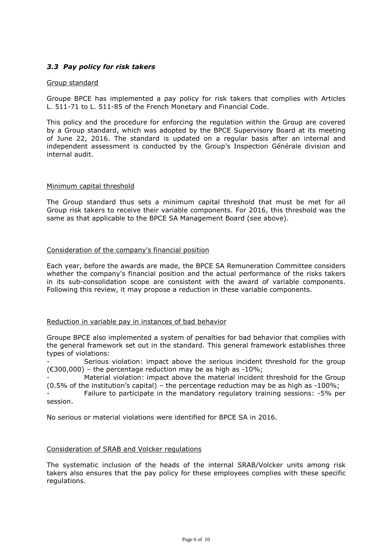## *3.3 Pay policy for risk takers*

### Group standard

Groupe BPCE has implemented a pay policy for risk takers that complies with Articles L. 511-71 to L. 511-85 of the French Monetary and Financial Code.

This policy and the procedure for enforcing the regulation within the Group are covered by a Group standard, which was adopted by the BPCE Supervisory Board at its meeting of June 22, 2016. The standard is updated on a regular basis after an internal and independent assessment is conducted by the Group's Inspection Générale division and internal audit.

#### Minimum capital threshold

The Group standard thus sets a minimum capital threshold that must be met for all Group risk takers to receive their variable components. For 2016, this threshold was the same as that applicable to the BPCE SA Management Board (see above).

### Consideration of the company's financial position

Each year, before the awards are made, the BPCE SA Remuneration Committee considers whether the company's financial position and the actual performance of the risks takers in its sub-consolidation scope are consistent with the award of variable components. Following this review, it may propose a reduction in these variable components.

### Reduction in variable pay in instances of bad behavior

Groupe BPCE also implemented a system of penalties for bad behavior that complies with the general framework set out in the standard. This general framework establishes three types of violations:

Serious violation: impact above the serious incident threshold for the group  $(6300,000)$  – the percentage reduction may be as high as -10%;

Material violation: impact above the material incident threshold for the Group (0.5% of the institution's capital) – the percentage reduction may be as high as -100%;

- Failure to participate in the mandatory regulatory training sessions: -5% per session.

No serious or material violations were identified for BPCE SA in 2016.

### Consideration of SRAB and Volcker regulations

The systematic inclusion of the heads of the internal SRAB/Volcker units among risk takers also ensures that the pay policy for these employees complies with these specific regulations.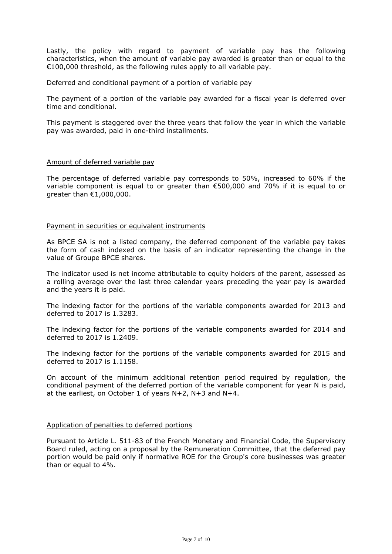Lastly, the policy with regard to payment of variable pay has the following characteristics, when the amount of variable pay awarded is greater than or equal to the €100,000 threshold, as the following rules apply to all variable pay.

#### Deferred and conditional payment of a portion of variable pay

The payment of a portion of the variable pay awarded for a fiscal year is deferred over time and conditional.

This payment is staggered over the three years that follow the year in which the variable pay was awarded, paid in one-third installments.

#### Amount of deferred variable pay

The percentage of deferred variable pay corresponds to 50%, increased to 60% if the variable component is equal to or greater than  $\epsilon$ 500,000 and 70% if it is equal to or greater than €1,000,000.

#### Payment in securities or equivalent instruments

As BPCE SA is not a listed company, the deferred component of the variable pay takes the form of cash indexed on the basis of an indicator representing the change in the value of Groupe BPCE shares.

The indicator used is net income attributable to equity holders of the parent, assessed as a rolling average over the last three calendar years preceding the year pay is awarded and the years it is paid.

The indexing factor for the portions of the variable components awarded for 2013 and deferred to 2017 is 1.3283.

The indexing factor for the portions of the variable components awarded for 2014 and deferred to 2017 is 1.2409.

The indexing factor for the portions of the variable components awarded for 2015 and deferred to 2017 is 1.1158.

On account of the minimum additional retention period required by regulation, the conditional payment of the deferred portion of the variable component for year N is paid, at the earliest, on October 1 of years N+2, N+3 and N+4.

#### Application of penalties to deferred portions

Pursuant to Article L. 511-83 of the French Monetary and Financial Code, the Supervisory Board ruled, acting on a proposal by the Remuneration Committee, that the deferred pay portion would be paid only if normative ROE for the Group's core businesses was greater than or equal to 4%.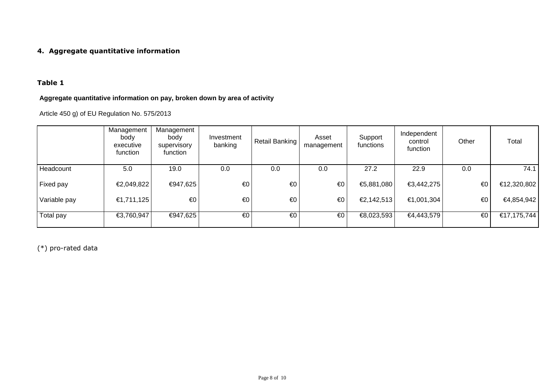## **4. Aggregate quantitative information**

## **Table 1**

# **Aggregate quantitative information on pay, broken down by area of activity**

Article 450 g) of EU Regulation No. 575/2013

|              | Management<br>body<br>executive<br>function | Management<br>body<br>supervisory<br>function | Investment<br>banking | Retail Banking | Asset<br>management | Support<br>functions | Independent<br>control<br>function | Other | Total       |
|--------------|---------------------------------------------|-----------------------------------------------|-----------------------|----------------|---------------------|----------------------|------------------------------------|-------|-------------|
| Headcount    | 5.0                                         | 19.0                                          | 0.0                   | 0.0            | 0.0                 | 27.2                 | 22.9                               | 0.0   | 74.1        |
| Fixed pay    | €2,049,822                                  | €947,625                                      | €0                    | €0             | €0                  | €5,881,080           | €3,442,275                         | €0    | €12,320,802 |
| Variable pay | €1,711,125                                  | $\epsilon$ <sup>0</sup>                       | €0                    | €0             | €0                  | €2,142,513           | €1,001,304                         | €0    | €4,854,942  |
| Total pay    | €3,760,947                                  | €947,625                                      | €0                    | $\epsilon$ 0   | €0                  | €8,023,593           | €4,443,579                         | €0    | €17,175,744 |

(\*) pro-rated data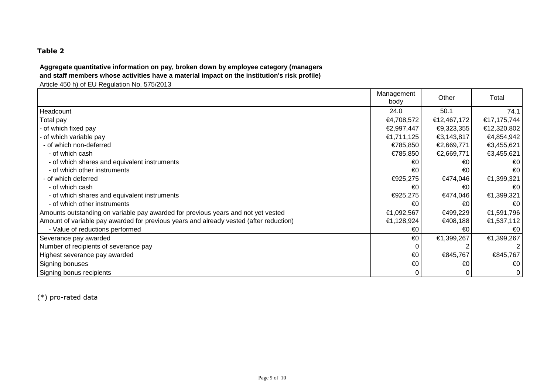## **Table 2**

# **Aggregate quantitative information on pay, broken down by employee category (managers and staff members whose activities have a material impact on the institution's risk profile)**

Article 450 h) of EU Regulation No. 575/2013

|                                                                                        | Management<br>body | Other       | Total       |
|----------------------------------------------------------------------------------------|--------------------|-------------|-------------|
| Headcount                                                                              | 24.0               | 50.1        | 74.1        |
| Total pay                                                                              | €4,708,572         | €12,467,172 | €17,175,744 |
| - of which fixed pay                                                                   | €2,997,447         | €9,323,355  | €12,320,802 |
| - of which variable pay                                                                | €1,711,125         | €3,143,817  | €4,854,942  |
| - of which non-deferred                                                                | €785,850           | €2,669,771  | €3,455,621  |
| - of which cash                                                                        | €785,850           | €2,669,771  | €3,455,621  |
| - of which shares and equivalent instruments                                           | €0                 | €0          | €0          |
| - of which other instruments                                                           | €0                 | €0          | €0          |
| - of which deferred                                                                    | €925,275           | €474,046    | €1,399,321  |
| - of which cash                                                                        | €0                 | €0          | €0          |
| - of which shares and equivalent instruments                                           | €925,275           | €474,046    | €1,399,321  |
| - of which other instruments                                                           | €0                 | €0          | €0          |
| Amounts outstanding on variable pay awarded for previous years and not yet vested      | €1,092,567         | €499,229    | €1,591,796  |
| Amount of variable pay awarded for previous years and already vested (after reduction) | €1,128,924         | €408,188    | €1,537,112  |
| - Value of reductions performed                                                        | €0                 | €0          | €0          |
| Severance pay awarded                                                                  | €0                 | €1,399,267  | €1,399,267  |
| Number of recipients of severance pay                                                  |                    |             |             |
| Highest severance pay awarded                                                          | €0                 | €845,767    | €845,767    |
| Signing bonuses                                                                        | €0                 | €0          | €0          |
| Signing bonus recipients                                                               | 0                  | $\Omega$    |             |

(\*) pro-rated data